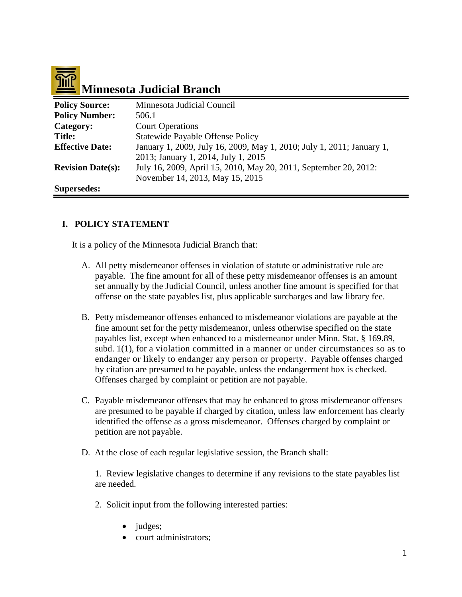# 

## **Minnesota Judicial Branch**

| <b>Policy Source:</b>    | Minnesota Judicial Council                                            |
|--------------------------|-----------------------------------------------------------------------|
| <b>Policy Number:</b>    | 506.1                                                                 |
| Category:                | <b>Court Operations</b>                                               |
| <b>Title:</b>            | <b>Statewide Payable Offense Policy</b>                               |
| <b>Effective Date:</b>   | January 1, 2009, July 16, 2009, May 1, 2010; July 1, 2011; January 1, |
|                          | 2013; January 1, 2014, July 1, 2015                                   |
| <b>Revision Date(s):</b> | July 16, 2009, April 15, 2010, May 20, 2011, September 20, 2012:      |
|                          | November 14, 2013, May 15, 2015                                       |
| <b>Supersedes:</b>       |                                                                       |

#### **I. POLICY STATEMENT**

It is a policy of the Minnesota Judicial Branch that:

- A. All petty misdemeanor offenses in violation of statute or administrative rule are payable. The fine amount for all of these petty misdemeanor offenses is an amount set annually by the Judicial Council, unless another fine amount is specified for that offense on the state payables list, plus applicable surcharges and law library fee.
- B. Petty misdemeanor offenses enhanced to misdemeanor violations are payable at the fine amount set for the petty misdemeanor, unless otherwise specified on the state payables list, except when enhanced to a misdemeanor under Minn. Stat. § 169.89, subd. 1(1), for a violation committed in a manner or under circumstances so as to endanger or likely to endanger any person or property. Payable offenses charged by citation are presumed to be payable, unless the endangerment box is checked. Offenses charged by complaint or petition are not payable.
- C. Payable misdemeanor offenses that may be enhanced to gross misdemeanor offenses are presumed to be payable if charged by citation, unless law enforcement has clearly identified the offense as a gross misdemeanor. Offenses charged by complaint or petition are not payable.
- D. At the close of each regular legislative session, the Branch shall:

1. Review legislative changes to determine if any revisions to the state payables list are needed.

- 2. Solicit input from the following interested parties:
	- judges;
	- court administrators;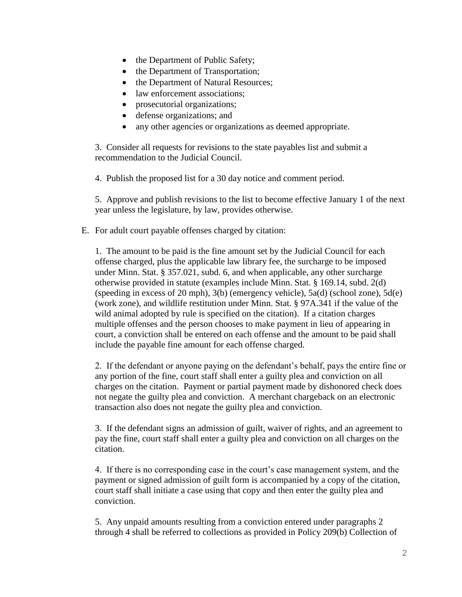- the Department of Public Safety;
- the Department of Transportation;
- the Department of Natural Resources;
- law enforcement associations:
- prosecutorial organizations;
- defense organizations; and
- any other agencies or organizations as deemed appropriate.

3. Consider all requests for revisions to the state payables list and submit a recommendation to the Judicial Council.

4. Publish the proposed list for a 30 day notice and comment period.

5. Approve and publish revisions to the list to become effective January 1 of the next year unless the legislature, by law, provides otherwise.

E. For adult court payable offenses charged by citation:

1. The amount to be paid is the fine amount set by the Judicial Council for each offense charged, plus the applicable law library fee, the surcharge to be imposed under Minn. Stat. § 357.021, subd. 6, and when applicable, any other surcharge otherwise provided in statute (examples include Minn. Stat. § 169.14, subd. 2(d) (speeding in excess of 20 mph), 3(b) (emergency vehicle), 5a(d) (school zone), 5d(e) (work zone), and wildlife restitution under Minn. Stat. § 97A.341 if the value of the wild animal adopted by rule is specified on the citation). If a citation charges multiple offenses and the person chooses to make payment in lieu of appearing in court, a conviction shall be entered on each offense and the amount to be paid shall include the payable fine amount for each offense charged.

2. If the defendant or anyone paying on the defendant's behalf, pays the entire fine or any portion of the fine, court staff shall enter a guilty plea and conviction on all charges on the citation. Payment or partial payment made by dishonored check does not negate the guilty plea and conviction. A merchant chargeback on an electronic transaction also does not negate the guilty plea and conviction.

3. If the defendant signs an admission of guilt, waiver of rights, and an agreement to pay the fine, court staff shall enter a guilty plea and conviction on all charges on the citation.

4. If there is no corresponding case in the court's case management system, and the payment or signed admission of guilt form is accompanied by a copy of the citation, court staff shall initiate a case using that copy and then enter the guilty plea and conviction.

5. Any unpaid amounts resulting from a conviction entered under paragraphs 2 through 4 shall be referred to collections as provided in Policy [209\(b\) Collection of](http://courtnet.courts.state.mn.us/Documents/100/docs/Human_Resources/Collection_of_Past_Due_Accounts_2010.doc)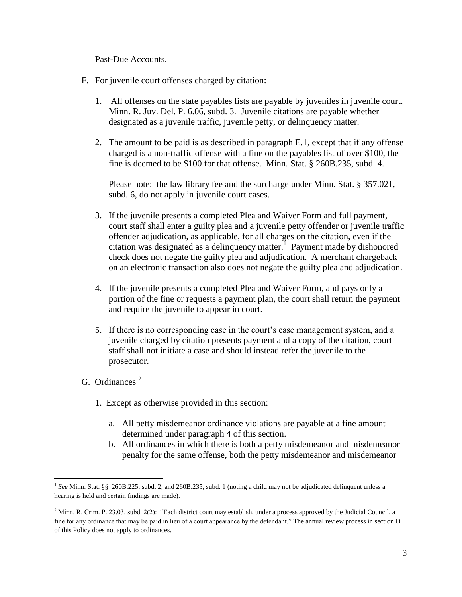[Past-Due Accounts.](http://courtnet.courts.state.mn.us/Documents/100/docs/Human_Resources/Collection_of_Past_Due_Accounts_2010.doc)

- F. For juvenile court offenses charged by citation:
	- 1. All offenses on the state payables lists are payable by juveniles in juvenile court. Minn. R. Juv. Del. P. 6.06, subd. 3. Juvenile citations are payable whether designated as a juvenile traffic, juvenile petty, or delinquency matter.
	- 2. The amount to be paid is as described in paragraph E.1, except that if any offense charged is a non-traffic offense with a fine on the payables list of over \$100, the fine is deemed to be \$100 for that offense. Minn. Stat. § 260B.235, subd. 4.

Please note: the law library fee and the surcharge under Minn. Stat. § 357.021, subd. 6, do not apply in juvenile court cases.

- 3. If the juvenile presents a completed Plea and Waiver Form and full payment, court staff shall enter a guilty plea and a juvenile petty offender or juvenile traffic offender adjudication, as applicable, for all charges on the citation, even if the citation was designated as a delinquency matter.<sup>1</sup> Payment made by dishonored check does not negate the guilty plea and adjudication. A merchant chargeback on an electronic transaction also does not negate the guilty plea and adjudication.
- 4. If the juvenile presents a completed Plea and Waiver Form, and pays only a portion of the fine or requests a payment plan, the court shall return the payment and require the juvenile to appear in court.
- 5. If there is no corresponding case in the court's case management system, and a juvenile charged by citation presents payment and a copy of the citation, court staff shall not initiate a case and should instead refer the juvenile to the prosecutor.
- G. Ordinances  $2$ 
	- 1. Except as otherwise provided in this section:
		- a. All petty misdemeanor ordinance violations are payable at a fine amount determined under paragraph 4 of this section.
		- b. All ordinances in which there is both a petty misdemeanor and misdemeanor penalty for the same offense, both the petty misdemeanor and misdemeanor

 $\overline{\phantom{a}}$ <sup>1</sup> See Minn. Stat. §§ 260B.225, subd. 2, and 260B.235, subd. 1 (noting a child may not be adjudicated delinquent unless a hearing is held and certain findings are made).

<sup>&</sup>lt;sup>2</sup> Minn. R. Crim. P. 23.03, subd. 2(2): "Each district court may establish, under a process approved by the Judicial Council, a fine for any ordinance that may be paid in lieu of a court appearance by the defendant." The annual review process in section D of this Policy does not apply to ordinances.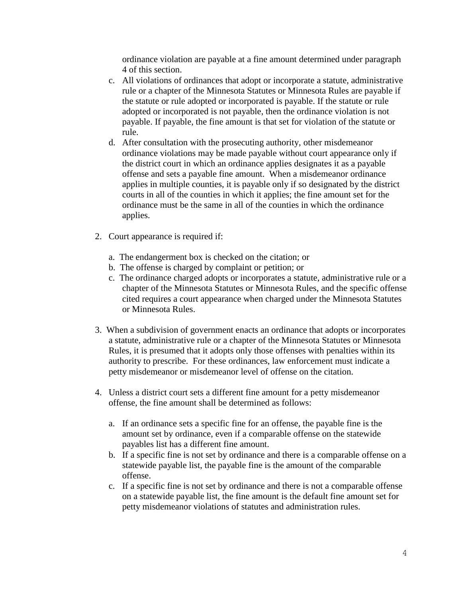ordinance violation are payable at a fine amount determined under paragraph 4 of this section.

- c. All violations of ordinances that adopt or incorporate a statute, administrative rule or a chapter of the Minnesota Statutes or Minnesota Rules are payable if the statute or rule adopted or incorporated is payable. If the statute or rule adopted or incorporated is not payable, then the ordinance violation is not payable. If payable, the fine amount is that set for violation of the statute or rule.
- d. After consultation with the prosecuting authority, other misdemeanor ordinance violations may be made payable without court appearance only if the district court in which an ordinance applies designates it as a payable offense and sets a payable fine amount. When a misdemeanor ordinance applies in multiple counties, it is payable only if so designated by the district courts in all of the counties in which it applies; the fine amount set for the ordinance must be the same in all of the counties in which the ordinance applies.
- 2. Court appearance is required if:
	- a. The endangerment box is checked on the citation; or
	- b. The offense is charged by complaint or petition; or
	- c. The ordinance charged adopts or incorporates a statute, administrative rule or a chapter of the Minnesota Statutes or Minnesota Rules, and the specific offense cited requires a court appearance when charged under the Minnesota Statutes or Minnesota Rules.
- 3. When a subdivision of government enacts an ordinance that adopts or incorporates a statute, administrative rule or a chapter of the Minnesota Statutes or Minnesota Rules, it is presumed that it adopts only those offenses with penalties within its authority to prescribe. For these ordinances, law enforcement must indicate a petty misdemeanor or misdemeanor level of offense on the citation.
- 4. Unless a district court sets a different fine amount for a petty misdemeanor offense, the fine amount shall be determined as follows:
	- a. If an ordinance sets a specific fine for an offense, the payable fine is the amount set by ordinance, even if a comparable offense on the statewide payables list has a different fine amount.
	- b. If a specific fine is not set by ordinance and there is a comparable offense on a statewide payable list, the payable fine is the amount of the comparable offense.
	- c. If a specific fine is not set by ordinance and there is not a comparable offense on a statewide payable list, the fine amount is the default fine amount set for petty misdemeanor violations of statutes and administration rules.